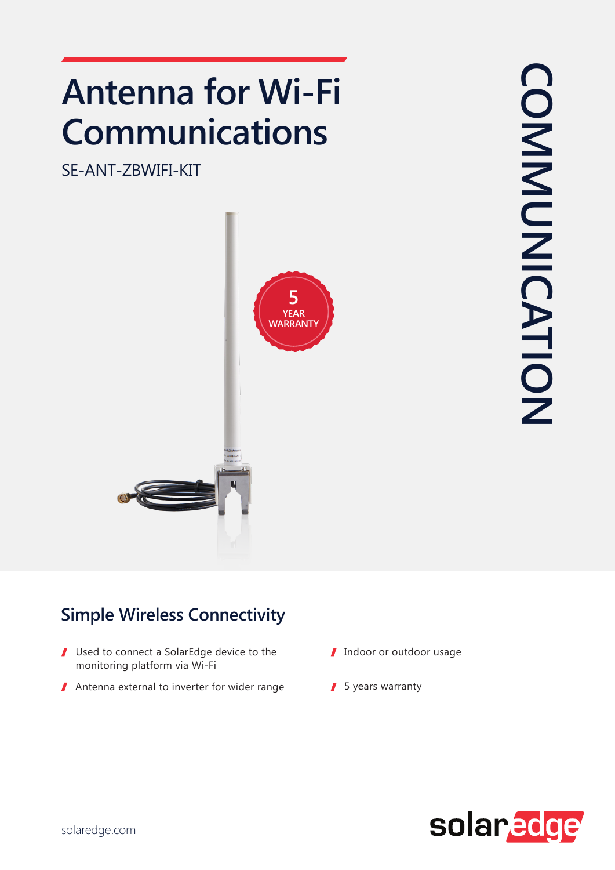## **Antenna for Wi-Fi Communications**

SE-ANT-ZBWIFI-KIT



## **Simple Wireless Connectivity**

- $\blacksquare$  Used to connect a SolarEdge device to the monitoring platform via Wi-Fi
- Antenna external to inverter for wider range  $\blacksquare$  5 years warranty
- I Indoor or outdoor usage
	-